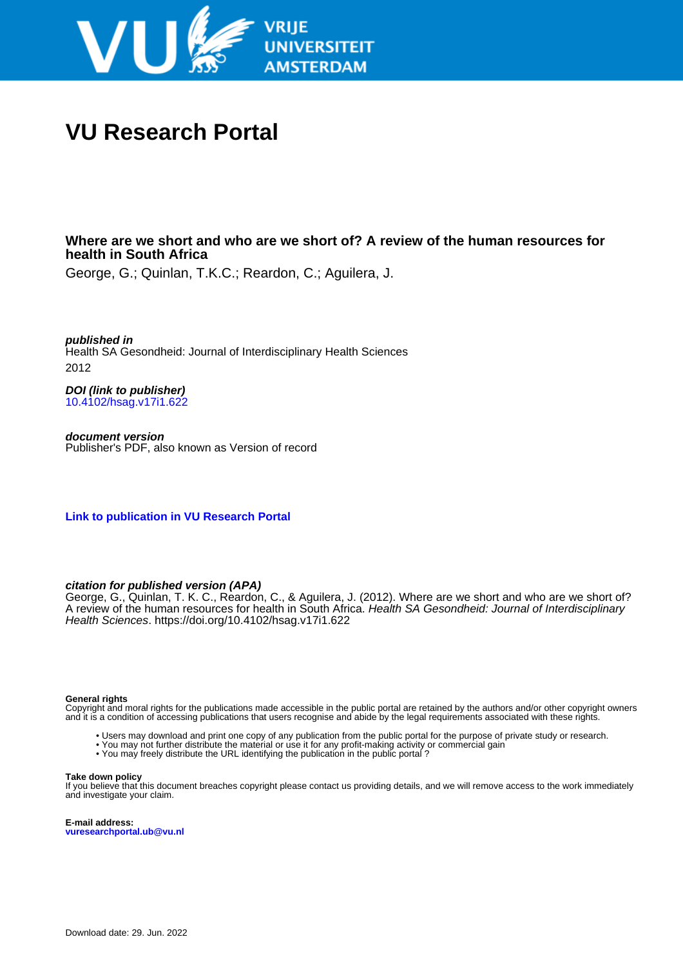

# **VU Research Portal**

## **Where are we short and who are we short of? A review of the human resources for health in South Africa**

George, G.; Quinlan, T.K.C.; Reardon, C.; Aguilera, J.

**published in** Health SA Gesondheid: Journal of Interdisciplinary Health Sciences 2012

**DOI (link to publisher)** [10.4102/hsag.v17i1.622](https://doi.org/10.4102/hsag.v17i1.622)

**document version** Publisher's PDF, also known as Version of record

**[Link to publication in VU Research Portal](https://research.vu.nl/en/publications/e45925bf-ad7a-427a-9411-a6ac5724f02c)**

**citation for published version (APA)**

George, G., Quinlan, T. K. C., Reardon, C., & Aguilera, J. (2012). Where are we short and who are we short of? A review of the human resources for health in South Africa. Health SA Gesondheid: Journal of Interdisciplinary Health Sciences. <https://doi.org/10.4102/hsag.v17i1.622>

#### **General rights**

Copyright and moral rights for the publications made accessible in the public portal are retained by the authors and/or other copyright owners and it is a condition of accessing publications that users recognise and abide by the legal requirements associated with these rights.

- Users may download and print one copy of any publication from the public portal for the purpose of private study or research.
- You may not further distribute the material or use it for any profit-making activity or commercial gain
- You may freely distribute the URL identifying the publication in the public portal ?

#### **Take down policy**

If you believe that this document breaches copyright please contact us providing details, and we will remove access to the work immediately and investigate your claim.

**E-mail address: vuresearchportal.ub@vu.nl**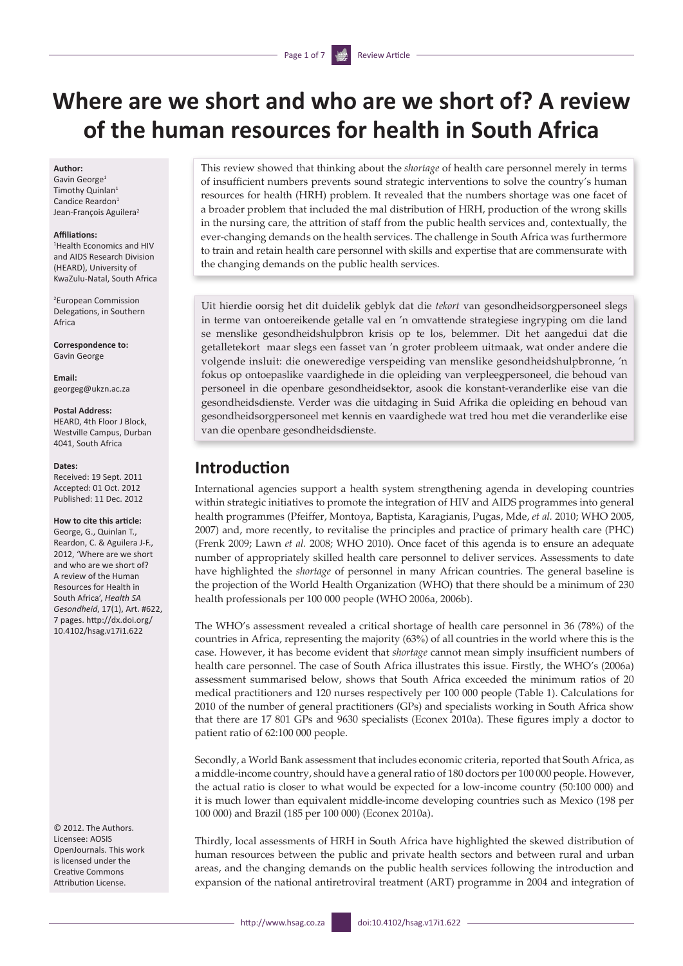# **Where are we short and who are we short of? A review of the human resources for health in South Africa**

#### **Author:**

Gavin George1 Timothy Quinlan<sup>1</sup> Candice Reardon<sup>1</sup> Jean-François Aguilera<sup>2</sup>

#### **Affiliations:**

1 Health Economics and HIV and AIDS Research Division (HEARD), University of KwaZulu-Natal, South Africa

2 European Commission Delegations, in Southern Africa

**Correspondence to:** Gavin George

**Email:** [georgeg@ukzn.ac.za](mailto:georgeg@ukzn.ac.za)

#### **Postal Address:**

HEARD, 4th Floor J Block, Westville Campus, Durban 4041, South Africa

#### **Dates:**

Received: 19 Sept. 2011 Accepted: 01 Oct. 2012 Published: 11 Dec. 2012

#### **How to cite this article:**

George, G., Quinlan T., Reardon, C. & Aguilera J-F., 2012, 'Where are we short and who are we short of? A review of the Human Resources for Health in South Africa', *Health SA Gesondheid*, 17(1), Art. #622, 7 pages. [http://dx.doi.org/](http://dx.doi.org/ 10.4102/hsag.v17i1.622)  [10.4102/hsag.v17i1.622](http://dx.doi.org/ 10.4102/hsag.v17i1.622)

© 2012. The Authors. Licensee: AOSIS OpenJournals. This work is licensed under the Creative Commons Attribution License.

This review showed that thinking about the *shortage* of health care personnel merely in terms of insufficient numbers prevents sound strategic interventions to solve the country's human resources for health (HRH) problem. It revealed that the numbers shortage was one facet of a broader problem that included the mal distribution of HRH, production of the wrong skills in the nursing care, the attrition of staff from the public health services and, contextually, the ever-changing demands on the health services. The challenge in South Africa was furthermore to train and retain health care personnel with skills and expertise that are commensurate with the changing demands on the public health services.

Uit hierdie oorsig het dit duidelik geblyk dat die *tekort* van gesondheidsorgpersoneel slegs in terme van ontoereikende getalle val en 'n omvattende strategiese ingryping om die land se menslike gesondheidshulpbron krisis op te los, belemmer. Dit het aangedui dat die getalletekort maar slegs een fasset van 'n groter probleem uitmaak, wat onder andere die volgende insluit: die oneweredige verspeiding van menslike gesondheidshulpbronne, 'n fokus op ontoepaslike vaardighede in die opleiding van verpleegpersoneel, die behoud van personeel in die openbare gesondheidsektor, asook die konstant-veranderlike eise van die gesondheidsdienste. Verder was die uitdaging in Suid Afrika die opleiding en behoud van gesondheidsorgpersoneel met kennis en vaardighede wat tred hou met die veranderlike eise van die openbare gesondheidsdienste.

## **Introduction**

International agencies support a health system strengthening agenda in developing countries within strategic initiatives to promote the integration of HIV and AIDS programmes into general health programmes (Pfeiffer, Montoya, Baptista, Karagianis, Pugas, Mde, *et al.* 2010; WHO 2005, 2007) and, more recently, to revitalise the principles and practice of primary health care (PHC) (Frenk 2009; Lawn *et al.* 2008; WHO 2010). Once facet of this agenda is to ensure an adequate number of appropriately skilled health care personnel to deliver services. Assessments to date have highlighted the *shortage* of personnel in many African countries. The general baseline is the projection of the World Health Organization (WHO) that there should be a minimum of 230 health professionals per 100 000 people (WHO 2006a, 2006b).

The WHO's assessment revealed a critical shortage of health care personnel in 36 (78%) of the countries in Africa, representing the majority (63%) of all countries in the world where this is the case. However, it has become evident that *shortage* cannot mean simply insufficient numbers of health care personnel. The case of South Africa illustrates this issue. Firstly, the WHO's (2006a) assessment summarised below, shows that South Africa exceeded the minimum ratios of 20 medical practitioners and 120 nurses respectively per 100 000 people (Table 1). Calculations for 2010 of the number of general practitioners (GPs) and specialists working in South Africa show that there are 17 801 GPs and 9630 specialists (Econex 2010a). These figures imply a doctor to patient ratio of 62:100 000 people.

Secondly, a World Bank assessment that includes economic criteria, reported that South Africa, as a middle-income country, should have a general ratio of 180 doctors per 100 000 people. However, the actual ratio is closer to what would be expected for a low-income country (50:100 000) and it is much lower than equivalent middle-income developing countries such as Mexico (198 per 100 000) and Brazil (185 per 100 000) (Econex 2010a).

Thirdly, local assessments of HRH in South Africa have highlighted the skewed distribution of human resources between the public and private health sectors and between rural and urban areas, and the changing demands on the public health services following the introduction and expansion of the national antiretroviral treatment (ART) programme in 2004 and integration of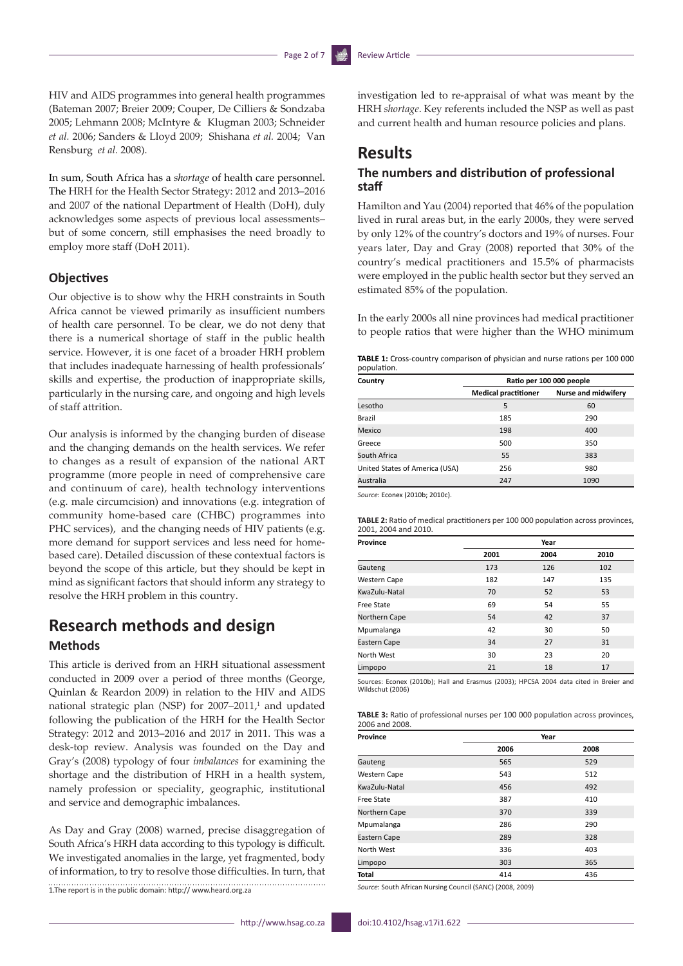HIV and AIDS programmes into general health programmes (Bateman 2007; Breier 2009; Couper, De Cilliers & Sondzaba 2005; Lehmann 2008; McIntyre & Klugman 2003; Schneider *et al.* 2006; Sanders & Lloyd 2009; Shishana *et al.* 2004; Van Rensburg *et al.* 2008).

In sum, South Africa has a *shortage* of health care personnel. The HRH for the Health Sector Strategy: 2012 and 2013–2016 and 2007 of the national Department of Health (DoH), duly acknowledges some aspects of previous local assessments– but of some concern, still emphasises the need broadly to employ more staff (DoH 2011).

#### **Objectives**

Our objective is to show why the HRH constraints in South Africa cannot be viewed primarily as insufficient numbers of health care personnel. To be clear, we do not deny that there is a numerical shortage of staff in the public health service. However, it is one facet of a broader HRH problem that includes inadequate harnessing of health professionals' skills and expertise, the production of inappropriate skills, particularly in the nursing care, and ongoing and high levels of staff attrition.

Our analysis is informed by the changing burden of disease and the changing demands on the health services. We refer to changes as a result of expansion of the national ART programme (more people in need of comprehensive care and continuum of care), health technology interventions (e.g. male circumcision) and innovations (e.g. integration of community home-based care (CHBC) programmes into PHC services), and the changing needs of HIV patients (e.g. more demand for support services and less need for homebased care). Detailed discussion of these contextual factors is beyond the scope of this article, but they should be kept in mind as significant factors that should inform any strategy to resolve the HRH problem in this country.

# **Research methods and design**

### **Methods**

This article is derived from an HRH situational assessment conducted in 2009 over a period of three months (George, Quinlan & Reardon 2009) in relation to the HIV and AIDS national strategic plan (NSP) for  $2007-2011$ ,<sup>1</sup> and updated following the publication of the HRH for the Health Sector Strategy: 2012 and 2013–2016 and 2017 in 2011. This was a desk-top review. Analysis was founded on the Day and Gray's (2008) typology of four *imbalances* for examining the shortage and the distribution of HRH in a health system, namely profession or speciality, geographic, institutional and service and demographic imbalances.

As Day and Gray (2008) warned, precise disaggregation of South Africa's HRH data according to this typology is difficult. We investigated anomalies in the large, yet fragmented, body of information, to try to resolve those difficulties. In turn, that 1.The report is in the public domain: http://<www.heard.org.za> investigation led to re-appraisal of what was meant by the HRH *shortage*. Key referents included the NSP as well as past and current health and human resource policies and plans.

## **Results**

### **The numbers and distribution of professional staff**

Hamilton and Yau (2004) reported that 46% of the population lived in rural areas but, in the early 2000s, they were served by only 12% of the country's doctors and 19% of nurses. Four years later, Day and Gray (2008) reported that 30% of the country's medical practitioners and 15.5% of pharmacists were employed in the public health sector but they served an estimated 85% of the population.

In the early 2000s all nine provinces had medical practitioner to people ratios that were higher than the WHO minimum

| <b>TABLE 1:</b> Cross-country comparison of physician and nurse rations per 100 000 |  |  |
|-------------------------------------------------------------------------------------|--|--|
| population.                                                                         |  |  |

| Country                        | Ratio per 100 000 people    |                            |  |  |  |  |
|--------------------------------|-----------------------------|----------------------------|--|--|--|--|
|                                | <b>Medical practitioner</b> | <b>Nurse and midwifery</b> |  |  |  |  |
| Lesotho                        | 5                           | 60                         |  |  |  |  |
| Brazil                         | 185                         | 290                        |  |  |  |  |
| Mexico                         | 198                         | 400                        |  |  |  |  |
| Greece                         | 500                         | 350                        |  |  |  |  |
| South Africa                   | 55                          | 383                        |  |  |  |  |
| United States of America (USA) | 256                         | 980                        |  |  |  |  |
| Australia                      | 247                         | 1090                       |  |  |  |  |

*Source*: Econex (2010b; 2010c).

**TABLE 2:** Ratio of medical practitioners per 100 000 population across provinces, 2001, 2004 and 2010.

| Province            | Year |      |      |  |  |  |
|---------------------|------|------|------|--|--|--|
|                     | 2001 | 2004 | 2010 |  |  |  |
| Gauteng             | 173  | 126  | 102  |  |  |  |
| <b>Western Cape</b> | 182  | 147  | 135  |  |  |  |
| KwaZulu-Natal       | 70   | 52   | 53   |  |  |  |
| Free State          | 69   | 54   | 55   |  |  |  |
| Northern Cape       | 54   | 42   | 37   |  |  |  |
| Mpumalanga          | 42   | 30   | 50   |  |  |  |
| Eastern Cape        | 34   | 27   | 31   |  |  |  |
| North West          | 30   | 23   | 20   |  |  |  |
| Limpopo             | 21   | 18   | 17   |  |  |  |

Sources: Econex (2010b); Hall and Erasmus (2003); HPCSA 2004 data cited in Breier and Wildschut (2006)

| <b>TABLE 3:</b> Ratio of professional nurses per 100 000 population across provinces, |  |  |
|---------------------------------------------------------------------------------------|--|--|
| 2006 and 2008.                                                                        |  |  |

| Province            | Year |      |  |  |  |
|---------------------|------|------|--|--|--|
|                     | 2006 | 2008 |  |  |  |
| Gauteng             | 565  | 529  |  |  |  |
| <b>Western Cape</b> | 543  | 512  |  |  |  |
| KwaZulu-Natal       | 456  | 492  |  |  |  |
| Free State          | 387  | 410  |  |  |  |
| Northern Cape       | 370  | 339  |  |  |  |
| Mpumalanga          | 286  | 290  |  |  |  |
| Eastern Cape        | 289  | 328  |  |  |  |
| North West          | 336  | 403  |  |  |  |
| Limpopo             | 303  | 365  |  |  |  |
| Total               | 414  | 436  |  |  |  |

*Source*: South African Nursing Council (SANC) (2008, 2009)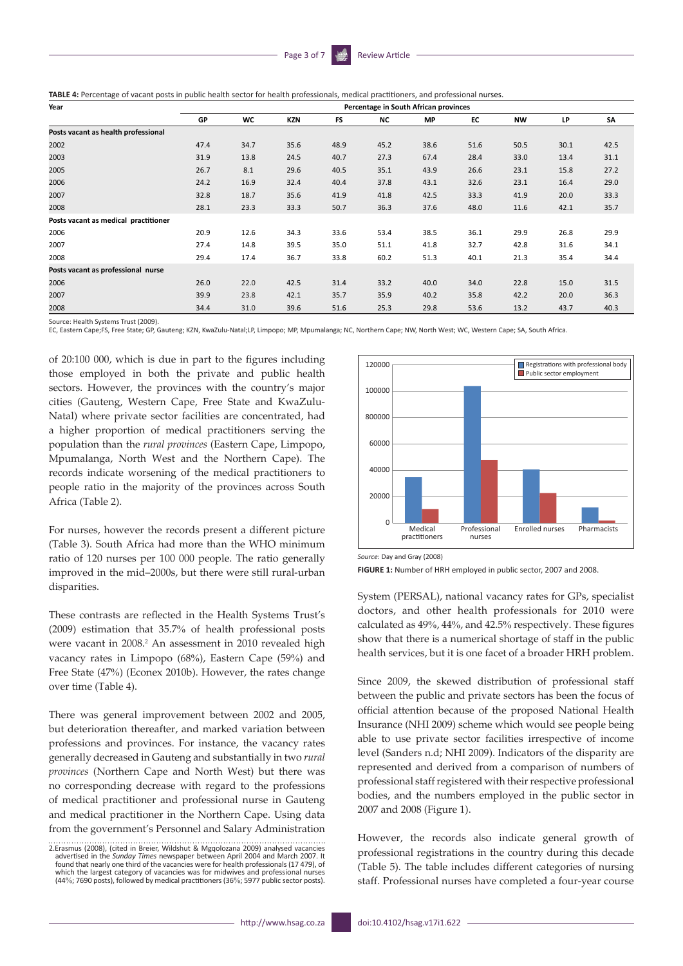| Year                                 |      |      |      |           |      | Percentage in South African provinces |      |           |      |      |
|--------------------------------------|------|------|------|-----------|------|---------------------------------------|------|-----------|------|------|
|                                      | GP   | WC   | KZN  | <b>FS</b> | NC   | МP                                    | EC   | <b>NW</b> | LP   | SA   |
| Posts vacant as health professional  |      |      |      |           |      |                                       |      |           |      |      |
| 2002                                 | 47.4 | 34.7 | 35.6 | 48.9      | 45.2 | 38.6                                  | 51.6 | 50.5      | 30.1 | 42.5 |
| 2003                                 | 31.9 | 13.8 | 24.5 | 40.7      | 27.3 | 67.4                                  | 28.4 | 33.0      | 13.4 | 31.1 |
| 2005                                 | 26.7 | 8.1  | 29.6 | 40.5      | 35.1 | 43.9                                  | 26.6 | 23.1      | 15.8 | 27.2 |
| 2006                                 | 24.2 | 16.9 | 32.4 | 40.4      | 37.8 | 43.1                                  | 32.6 | 23.1      | 16.4 | 29.0 |
| 2007                                 | 32.8 | 18.7 | 35.6 | 41.9      | 41.8 | 42.5                                  | 33.3 | 41.9      | 20.0 | 33.3 |
| 2008                                 | 28.1 | 23.3 | 33.3 | 50.7      | 36.3 | 37.6                                  | 48.0 | 11.6      | 42.1 | 35.7 |
| Posts vacant as medical practitioner |      |      |      |           |      |                                       |      |           |      |      |
| 2006                                 | 20.9 | 12.6 | 34.3 | 33.6      | 53.4 | 38.5                                  | 36.1 | 29.9      | 26.8 | 29.9 |
| 2007                                 | 27.4 | 14.8 | 39.5 | 35.0      | 51.1 | 41.8                                  | 32.7 | 42.8      | 31.6 | 34.1 |
| 2008                                 | 29.4 | 17.4 | 36.7 | 33.8      | 60.2 | 51.3                                  | 40.1 | 21.3      | 35.4 | 34.4 |
| Posts vacant as professional nurse   |      |      |      |           |      |                                       |      |           |      |      |
| 2006                                 | 26.0 | 22.0 | 42.5 | 31.4      | 33.2 | 40.0                                  | 34.0 | 22.8      | 15.0 | 31.5 |
| 2007                                 | 39.9 | 23.8 | 42.1 | 35.7      | 35.9 | 40.2                                  | 35.8 | 42.2      | 20.0 | 36.3 |
| 2008                                 | 34.4 | 31.0 | 39.6 | 51.6      | 25.3 | 29.8                                  | 53.6 | 13.2      | 43.7 | 40.3 |

Source: Health Systems Trust (2009).

EC, Eastern Cape;FS, Free State; GP, Gauteng; KZN, KwaZulu-Natal;LP, Limpopo; MP, Mpumalanga; NC, Northern Cape; NW, North West; WC, Western Cape; SA, South Africa.

of 20:100 000, which is due in part to the figures including those employed in both the private and public health sectors. However, the provinces with the country's major cities (Gauteng, Western Cape, Free State and KwaZulu-Natal) where private sector facilities are concentrated, had a higher proportion of medical practitioners serving the population than the *rural provinces* (Eastern Cape, Limpopo, Mpumalanga, North West and the Northern Cape). The records indicate worsening of the medical practitioners to people ratio in the majority of the provinces across South Africa (Table 2).

For nurses, however the records present a different picture (Table 3). South Africa had more than the WHO minimum ratio of 120 nurses per 100 000 people. The ratio generally improved in the mid–2000s, but there were still rural-urban disparities.

These contrasts are reflected in the Health Systems Trust's (2009) estimation that 35.7% of health professional posts were vacant in 2008.<sup>2</sup> An assessment in 2010 revealed high vacancy rates in Limpopo (68%), Eastern Cape (59%) and Free State (47%) (Econex 2010b). However, the rates change over time (Table 4).

There was general improvement between 2002 and 2005, but deterioration thereafter, and marked variation between professions and provinces. For instance, the vacancy rates generally decreased in Gauteng and substantially in two *rural provinces* (Northern Cape and North West) but there was no corresponding decrease with regard to the professions of medical practitioner and professional nurse in Gauteng and medical practitioner in the Northern Cape. Using data from the government's Personnel and Salary Administration



*Source*: Day and Gray (2008)

**FIGURE 1:** Number of HRH employed in public sector, 2007 and 2008.

System (PERSAL), national vacancy rates for GPs, specialist doctors, and other health professionals for 2010 were calculated as 49%, 44%, and 42.5% respectively. These figures show that there is a numerical shortage of staff in the public health services, but it is one facet of a broader HRH problem.

Since 2009, the skewed distribution of professional staff between the public and private sectors has been the focus of official attention because of the proposed National Health Insurance (NHI 2009) scheme which would see people being able to use private sector facilities irrespective of income level (Sanders n.d; NHI 2009). Indicators of the disparity are represented and derived from a comparison of numbers of professional staff registered with their respective professional bodies, and the numbers employed in the public sector in 2007 and 2008 (Figure 1).

However, the records also indicate general growth of professional registrations in the country during this decade (Table 5). The table includes different categories of nursing staff. Professional nurses have completed a four-year course

<sup>2.</sup>Erasmus (2008), (cited in Breier, Wildshut & Mgqolozana 2009) analysed vacancies advertised in the *Sunday Times* newspaper between April 2004 and March 2007. It found that nearly one third of the vacancies were for health professionals (17 479), of which the largest category of vacancies was for midwives and professional nurses (44%; 7690 posts), followed by medical practitioners (36%; 5977 public sector posts).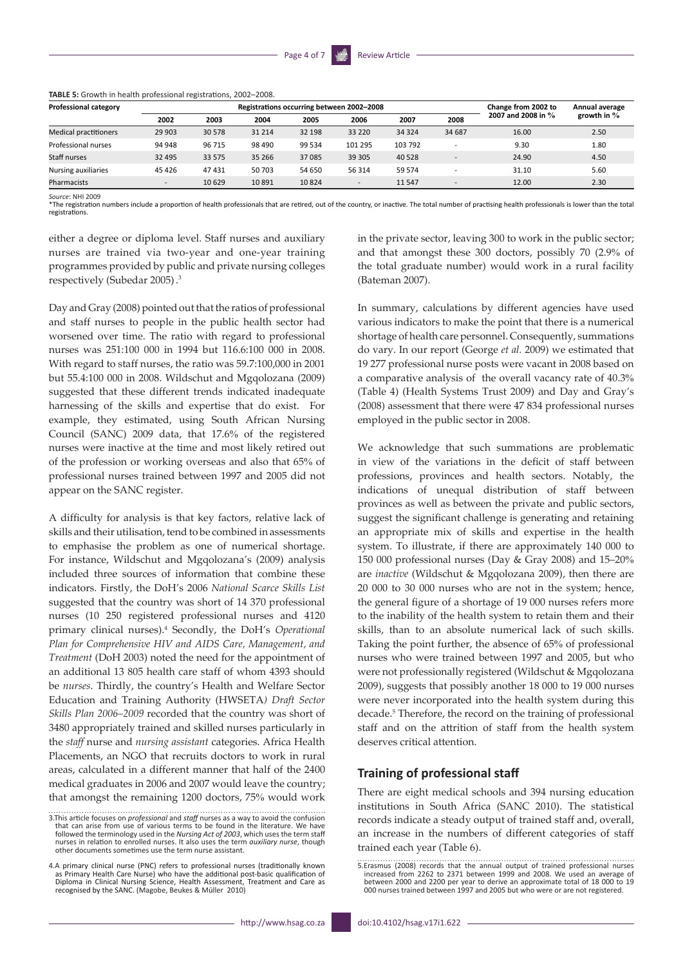| Professional category        |                          |        |        |         | Registrations occurring between 2002-2008 |         |                          | Change from 2002 to | Annual average |  |
|------------------------------|--------------------------|--------|--------|---------|-------------------------------------------|---------|--------------------------|---------------------|----------------|--|
|                              | 2002                     | 2003   | 2004   | 2005    | 2006                                      | 2007    | 2008                     | 2007 and 2008 in %  | growth in $\%$ |  |
| <b>Medical practitioners</b> | 29 903                   | 30 578 | 31 214 | 32 198  | 33 2 20                                   | 34 3 24 | 34 687                   | 16.00               | 2.50           |  |
| Professional nurses          | 94 948                   | 96 715 | 98 490 | 99 5 34 | 101 295                                   | 103 792 | ۰                        | 9.30                | 1.80           |  |
| Staff nurses                 | 32 4 95                  | 33 575 | 35 266 | 37 085  | 39 30 5                                   | 40 5 28 | $\overline{\phantom{a}}$ | 24.90               | 4.50           |  |
| Nursing auxiliaries          | 45 4 26                  | 47431  | 50 703 | 54 650  | 56 314                                    | 59 574  |                          | 31.10               | 5.60           |  |
| Pharmacists                  | $\overline{\phantom{0}}$ | 10629  | 10891  | 10824   | $\sim$                                    | 11 5 47 | $\overline{\phantom{a}}$ | 12.00               | 2.30           |  |

**TABLE 5:** Growth in health professional registrations, 2002–2008.

*Source*: NHI 2009

\*The registration numbers include a proportion of health professionals that are retired, out of the country, or inactive. The total number of practising health professionals is lower than the total registrations.

either a degree or diploma level. Staff nurses and auxiliary nurses are trained via two-year and one-year training programmes provided by public and private nursing colleges respectively (Subedar 2005). 3

Day and Gray (2008) pointed out that the ratios of professional and staff nurses to people in the public health sector had worsened over time. The ratio with regard to professional nurses was 251:100 000 in 1994 but 116.6:100 000 in 2008. With regard to staff nurses, the ratio was 59.7:100,000 in 2001 but 55.4:100 000 in 2008. Wildschut and Mgqolozana (2009) suggested that these different trends indicated inadequate harnessing of the skills and expertise that do exist. For example, they estimated, using South African Nursing Council (SANC) 2009 data, that 17.6% of the registered nurses were inactive at the time and most likely retired out of the profession or working overseas and also that 65% of professional nurses trained between 1997 and 2005 did not appear on the SANC register.

A difficulty for analysis is that key factors, relative lack of skills and their utilisation, tend to be combined in assessments to emphasise the problem as one of numerical shortage. For instance, Wildschut and Mgqolozana's (2009) analysis included three sources of information that combine these indicators. Firstly, the DoH's 2006 *National Scarce Skills List* suggested that the country was short of 14 370 professional nurses (10 250 registered professional nurses and 4120 primary clinical nurses).4 Secondly, the DoH's *Operational Plan for Comprehensive HIV and AIDS Care, Management, and Treatment* (DoH 2003) noted the need for the appointment of an additional 13 805 health care staff of whom 4393 should be *nurses*. Thirdly, the country's Health and Welfare Sector Education and Training Authority (HWSETA*) Draft Sector Skills Plan 2006–2009* recorded that the country was short of 3480 appropriately trained and skilled nurses particularly in the *staff* nurse and *nursing assistant* categories. Africa Health Placements, an NGO that recruits doctors to work in rural areas, calculated in a different manner that half of the 2400 medical graduates in 2006 and 2007 would leave the country; that amongst the remaining 1200 doctors, 75% would work in the private sector, leaving 300 to work in the public sector; and that amongst these 300 doctors, possibly 70 (2.9% of the total graduate number) would work in a rural facility (Bateman 2007).

In summary, calculations by different agencies have used various indicators to make the point that there is a numerical shortage of health care personnel. Consequently, summations do vary. In our report (George *et al.* 2009) we estimated that 19 277 professional nurse posts were vacant in 2008 based on a comparative analysis of the overall vacancy rate of 40.3% (Table 4) (Health Systems Trust 2009) and Day and Gray's (2008) assessment that there were 47 834 professional nurses employed in the public sector in 2008.

We acknowledge that such summations are problematic in view of the variations in the deficit of staff between professions, provinces and health sectors. Notably, the indications of unequal distribution of staff between provinces as well as between the private and public sectors, suggest the significant challenge is generating and retaining an appropriate mix of skills and expertise in the health system. To illustrate, if there are approximately 140 000 to 150 000 professional nurses (Day & Gray 2008) and 15–20% are *inactive* (Wildschut & Mgqolozana 2009), then there are 20 000 to 30 000 nurses who are not in the system; hence, the general figure of a shortage of 19 000 nurses refers more to the inability of the health system to retain them and their skills, than to an absolute numerical lack of such skills. Taking the point further, the absence of 65% of professional nurses who were trained between 1997 and 2005, but who were not professionally registered (Wildschut & Mgqolozana 2009), suggests that possibly another 18 000 to 19 000 nurses were never incorporated into the health system during this decade.<sup>5</sup> Therefore, the record on the training of professional staff and on the attrition of staff from the health system deserves critical attention.

#### **Training of professional staff**

There are eight medical schools and 394 nursing education institutions in South Africa (SANC 2010). The statistical records indicate a steady output of trained staff and, overall, an increase in the numbers of different categories of staff trained each year (Table 6).

<sup>3.</sup>This article focuses on *professional* and *staff* nurses as a way to avoid the confusion that can arise from use of various terms to be found in the literature. We have followed the terminology used in the *Nursing Act of 2003*, which uses the term staff nurses in relation to enrolled nurses. It also uses the term *auxiliary nurse*, though other documents sometimes use the term nurse assistant.

<sup>4.</sup>A primary clinical nurse (PNC) refers to professional nurses (traditionally known as Primary Health Care Nurse) who have the additional post-basic qualification of Diploma in Clinical Nursing Science, Health Assessment, Treatment and Care as recognised by the SANC. (Magobe, Beukes & Müller 2010)

<sup>5.</sup>Erasmus (2008) records that the annual output of trained professional nurses increased from 2262 to 2371 between 1999 and 2008. We used an average of between 2000 and 2200 per year to derive an approximate total of 18 000 to 19 000 nurses trained between 1997 and 2005 but who were or are not registered.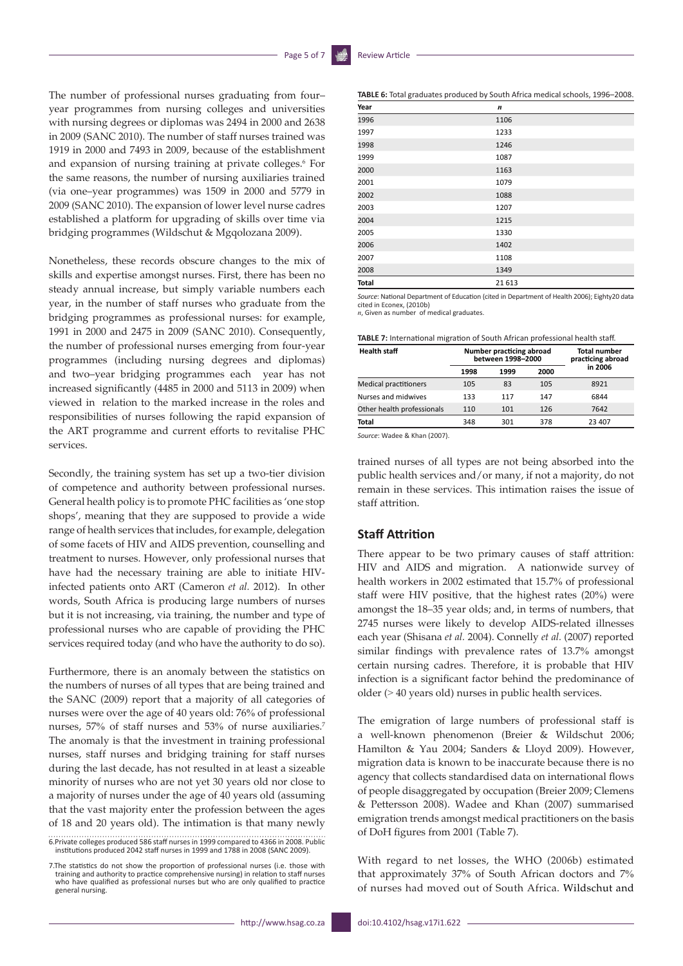The number of professional nurses graduating from four– year programmes from nursing colleges and universities with nursing degrees or diplomas was 2494 in 2000 and 2638 in 2009 (SANC 2010). The number of staff nurses trained was 1919 in 2000 and 7493 in 2009, because of the establishment and expansion of nursing training at private colleges.<sup>6</sup> For the same reasons, the number of nursing auxiliaries trained (via one–year programmes) was 1509 in 2000 and 5779 in 2009 (SANC 2010). The expansion of lower level nurse cadres established a platform for upgrading of skills over time via bridging programmes (Wildschut & Mgqolozana 2009).

Nonetheless, these records obscure changes to the mix of skills and expertise amongst nurses. First, there has been no steady annual increase, but simply variable numbers each year, in the number of staff nurses who graduate from the bridging programmes as professional nurses: for example, 1991 in 2000 and 2475 in 2009 (SANC 2010). Consequently, the number of professional nurses emerging from four-year programmes (including nursing degrees and diplomas) and two–year bridging programmes each year has not increased significantly (4485 in 2000 and 5113 in 2009) when viewed in relation to the marked increase in the roles and responsibilities of nurses following the rapid expansion of the ART programme and current efforts to revitalise PHC services.

Secondly, the training system has set up a two-tier division of competence and authority between professional nurses. General health policy is to promote PHC facilities as 'one stop shops', meaning that they are supposed to provide a wide range of health services that includes, for example, delegation of some facets of HIV and AIDS prevention, counselling and treatment to nurses. However, only professional nurses that have had the necessary training are able to initiate HIVinfected patients onto ART (Cameron *et al.* 2012). In other words, South Africa is producing large numbers of nurses but it is not increasing, via training, the number and type of professional nurses who are capable of providing the PHC services required today (and who have the authority to do so).

Furthermore, there is an anomaly between the statistics on the numbers of nurses of all types that are being trained and the SANC (2009) report that a majority of all categories of nurses were over the age of 40 years old: 76% of professional nurses, 57% of staff nurses and 53% of nurse auxiliaries.7 The anomaly is that the investment in training professional nurses, staff nurses and bridging training for staff nurses during the last decade, has not resulted in at least a sizeable minority of nurses who are not yet 30 years old nor close to a majority of nurses under the age of 40 years old (assuming that the vast majority enter the profession between the ages of 18 and 20 years old). The intimation is that many newly

6.Private colleges produced 586 staff nurses in 1999 compared to 4366 in 2008. Public institutions produced 2042 staff nurses in 1999 and 1788 in 2008 (SANC 2009).

7.The statistics do not show the proportion of professional nurses (i.e. those with training and authority to practice comprehensive nursing) in relation to staff nurses who have qualified as professional nurses but who are only qualified to practice general nursing.

| Year  | $\boldsymbol{n}$ |
|-------|------------------|
| 1996  | 1106             |
| 1997  | 1233             |
| 1998  | 1246             |
| 1999  | 1087             |
| 2000  | 1163             |
| 2001  | 1079             |
| 2002  | 1088             |
| 2003  | 1207             |
| 2004  | 1215             |
| 2005  | 1330             |
| 2006  | 1402             |
| 2007  | 1108             |
| 2008  | 1349             |
| Total | 21 613           |

*Source*: National Department of Education (cited in Department of Health 2006); Eighty20 data cited in Econex, (2010b)

*n*, Given as number of medical graduates.

**TABLE 7:** International migration of South African professional health staff.

| <b>Health staff</b>          |      | Number practicing abroad<br>between 1998-2000 | <b>Total number</b><br>practicing abroad |         |
|------------------------------|------|-----------------------------------------------|------------------------------------------|---------|
|                              | 1998 | 1999                                          | 2000                                     | in 2006 |
| <b>Medical practitioners</b> | 105  | 83                                            | 105                                      | 8921    |
| Nurses and midwives          | 133  | 117                                           | 147                                      | 6844    |
| Other health professionals   | 110  | 101                                           | 126                                      | 7642    |
| <b>Total</b>                 | 348  | 301                                           | 378                                      | 23 407  |

*Source*: Wadee & Khan (2007).

trained nurses of all types are not being absorbed into the public health services and/or many, if not a majority, do not remain in these services. This intimation raises the issue of staff attrition.

#### **Staff Attrition**

There appear to be two primary causes of staff attrition: HIV and AIDS and migration. A nationwide survey of health workers in 2002 estimated that 15.7% of professional staff were HIV positive, that the highest rates (20%) were amongst the 18–35 year olds; and, in terms of numbers, that 2745 nurses were likely to develop AIDS-related illnesses each year (Shisana *et al.* 2004). Connelly *et al.* (2007) reported similar findings with prevalence rates of 13.7% amongst certain nursing cadres. Therefore, it is probable that HIV infection is a significant factor behind the predominance of older (> 40 years old) nurses in public health services.

The emigration of large numbers of professional staff is a well-known phenomenon (Breier & Wildschut 2006; Hamilton & Yau 2004; Sanders & Lloyd 2009). However, migration data is known to be inaccurate because there is no agency that collects standardised data on international flows of people disaggregated by occupation (Breier 2009; Clemens & Pettersson 2008). Wadee and Khan (2007) summarised emigration trends amongst medical practitioners on the basis of DoH figures from 2001 (Table 7).

With regard to net losses, the WHO (2006b) estimated that approximately 37% of South African doctors and 7% of nurses had moved out of South Africa. Wildschut and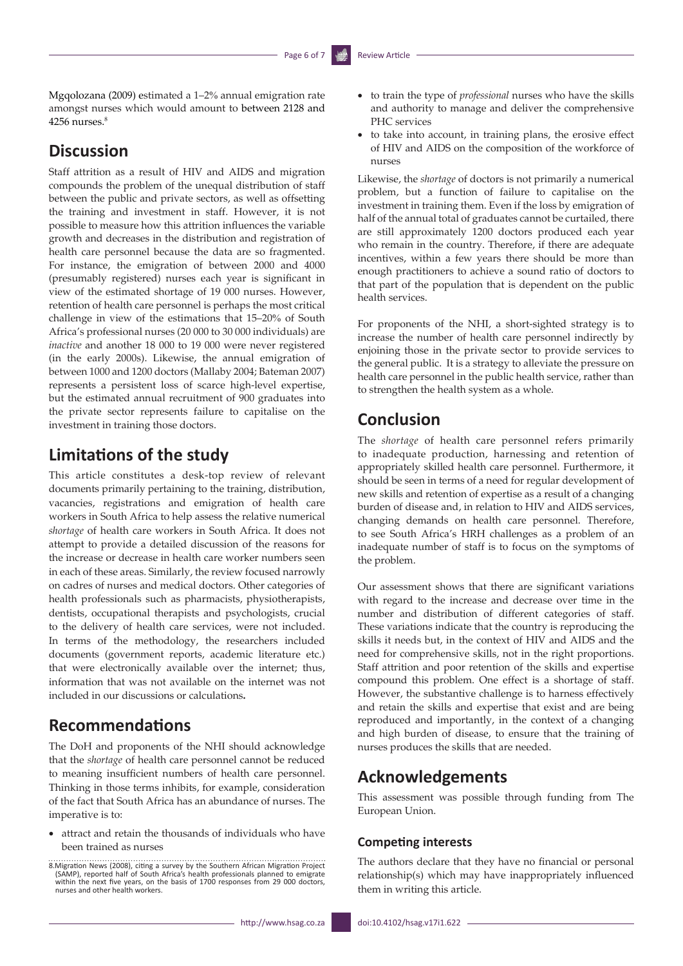Mgqolozana (2009) estimated a 1–2% annual emigration rate amongst nurses which would amount to between 2128 and  $4256$  nurses. $8$ 

# **Discussion**

Staff attrition as a result of HIV and AIDS and migration compounds the problem of the unequal distribution of staff between the public and private sectors, as well as offsetting the training and investment in staff. However, it is not possible to measure how this attrition influences the variable growth and decreases in the distribution and registration of health care personnel because the data are so fragmented. For instance, the emigration of between 2000 and 4000 (presumably registered) nurses each year is significant in view of the estimated shortage of 19 000 nurses. However, retention of health care personnel is perhaps the most critical challenge in view of the estimations that 15–20% of South Africa's professional nurses (20 000 to 30 000 individuals) are *inactive* and another 18 000 to 19 000 were never registered (in the early 2000s). Likewise, the annual emigration of between 1000 and 1200 doctors (Mallaby 2004; Bateman 2007) represents a persistent loss of scarce high-level expertise, but the estimated annual recruitment of 900 graduates into the private sector represents failure to capitalise on the investment in training those doctors.

# **Limitations of the study**

This article constitutes a desk-top review of relevant documents primarily pertaining to the training, distribution, vacancies, registrations and emigration of health care workers in South Africa to help assess the relative numerical *shortage* of health care workers in South Africa. It does not attempt to provide a detailed discussion of the reasons for the increase or decrease in health care worker numbers seen in each of these areas. Similarly, the review focused narrowly on cadres of nurses and medical doctors. Other categories of health professionals such as pharmacists, physiotherapists, dentists, occupational therapists and psychologists, crucial to the delivery of health care services, were not included. In terms of the methodology, the researchers included documents (government reports, academic literature etc.) that were electronically available over the internet; thus, information that was not available on the internet was not included in our discussions or calculations**.** 

## **Recommendations**

The DoH and proponents of the NHI should acknowledge that the *shortage* of health care personnel cannot be reduced to meaning insufficient numbers of health care personnel. Thinking in those terms inhibits, for example, consideration of the fact that South Africa has an abundance of nurses. The imperative is to:

• attract and retain the thousands of individuals who have been trained as nurses

- • to train the type of *professional* nurses who have the skills and authority to manage and deliver the comprehensive PHC services
- to take into account, in training plans, the erosive effect of HIV and AIDS on the composition of the workforce of nurses

Likewise, the *shortage* of doctors is not primarily a numerical problem, but a function of failure to capitalise on the investment in training them. Even if the loss by emigration of half of the annual total of graduates cannot be curtailed, there are still approximately 1200 doctors produced each year who remain in the country. Therefore, if there are adequate incentives, within a few years there should be more than enough practitioners to achieve a sound ratio of doctors to that part of the population that is dependent on the public health services.

For proponents of the NHI, a short-sighted strategy is to increase the number of health care personnel indirectly by enjoining those in the private sector to provide services to the general public. It is a strategy to alleviate the pressure on health care personnel in the public health service, rather than to strengthen the health system as a whole.

# **Conclusion**

The *shortage* of health care personnel refers primarily to inadequate production, harnessing and retention of appropriately skilled health care personnel. Furthermore, it should be seen in terms of a need for regular development of new skills and retention of expertise as a result of a changing burden of disease and, in relation to HIV and AIDS services, changing demands on health care personnel. Therefore, to see South Africa's HRH challenges as a problem of an inadequate number of staff is to focus on the symptoms of the problem.

Our assessment shows that there are significant variations with regard to the increase and decrease over time in the number and distribution of different categories of staff. These variations indicate that the country is reproducing the skills it needs but, in the context of HIV and AIDS and the need for comprehensive skills, not in the right proportions. Staff attrition and poor retention of the skills and expertise compound this problem. One effect is a shortage of staff. However, the substantive challenge is to harness effectively and retain the skills and expertise that exist and are being reproduced and importantly, in the context of a changing and high burden of disease, to ensure that the training of nurses produces the skills that are needed.

## **Acknowledgements**

This assessment was possible through funding from The European Union.

#### **Competing interests**

The authors declare that they have no financial or personal relationship(s) which may have inappropriately influenced them in writing this article.

<sup>8.</sup> Migration News (2008), citing a survey by the Southern African Migration Project (SAMP), reported half of South Africa's health professionals planned to emigrate within the next five years, on the basis of 1700 response